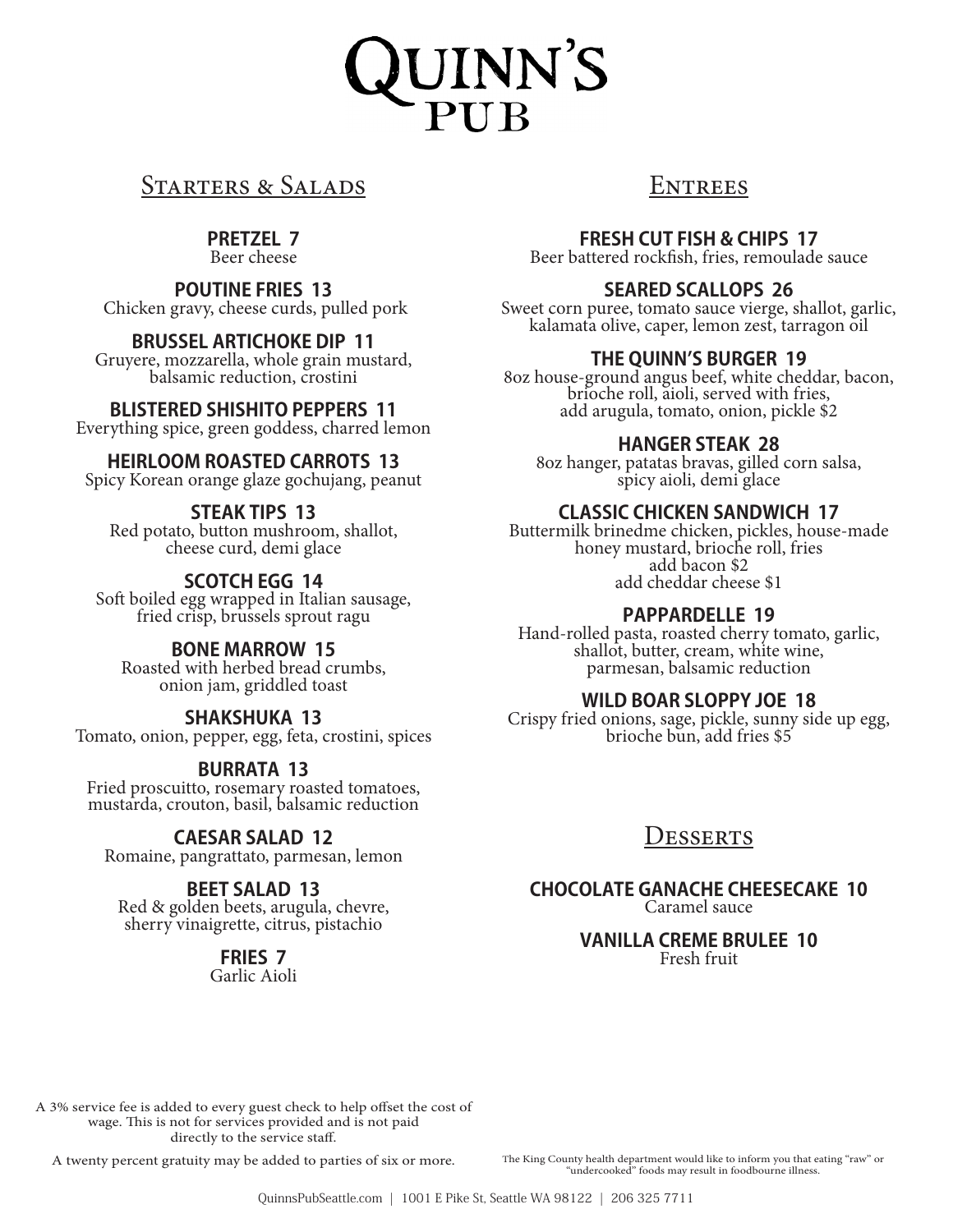# UINN'S<br>PUB

# STARTERS & SALADS

### **PRETZEL 7**

Beer cheese

### **POUTINE FRIES 13**

Chicken gravy, cheese curds, pulled pork

### **BRUSSEL ARTICHOKE DIP 11**

Gruyere, mozzarella, whole grain mustard, balsamic reduction, crostini

### **BLISTERED SHISHITO PEPPERS 11**

Everything spice, green goddess, charred lemon

### **HEIRLOOM ROASTED CARROTS 13**

Spicy Korean orange glaze gochujang, peanut

### **STEAK TIPS 13**

Red potato, button mushroom, shallot, cheese curd, demi glace

### **SCOTCH EGG 14**

Soft boiled egg wrapped in Italian sausage, fried crisp, brussels sprout ragu

### **BONE MARROW 15**

Roasted with herbed bread crumbs, onion jam, griddled toast

### **SHAKSHUKA 13**

Tomato, onion, pepper, egg, feta, crostini, spices

### **BURRATA 13**

Fried proscuitto, rosemary roasted tomatoes, mustarda, crouton, basil, balsamic reduction

### **CAESAR SALAD 12**

Romaine, pangrattato, parmesan, lemon

### **BEET SALAD 13**

Red & golden beets, arugula, chevre, sherry vinaigrette, citrus, pistachio

# **FRIES 7**

Garlic Aioli

# **ENTREES**

**FRESH CUT FISH & CHIPS 17**

Beer battered rockfish, fries, remoulade sauce

### **SEARED SCALLOPS 26**

Sweet corn puree, tomato sauce vierge, shallot, garlic, kalamata olive, caper, lemon zest, tarragon oil

### **THE QUINN'S BURGER 19**

8oz house-ground angus beef, white cheddar, bacon, brioche roll, aioli, served with fries, add arugula, tomato, onion, pickle \$2

### **HANGER STEAK 28**

8oz hanger, patatas bravas, gilled corn salsa, spicy aioli, demi glace

### **CLASSIC CHICKEN SANDWICH 17**

Buttermilk brinedme chicken, pickles, house-made honey mustard, brioche roll, fries add bacon \$2 add cheddar cheese \$1

### **PAPPARDELLE 19**

Hand-rolled pasta, roasted cherry tomato, garlic, shallot, butter, cream, white wine, parmesan, balsamic reduction

### **WILD BOAR SLOPPY JOE 18**

Crispy fried onions, sage, pickle, sunny side up egg, brioche bun, add fries \$5

# Desserts

### **CHOCOLATE GANACHE CHEESECAKE 10** Caramel sauce

**VANILLA CREME BRULEE 10** Fresh fruit

A 3% service fee is added to every guest check to help offset the cost of wage. This is not for services provided and is not paid directly to the service staff.

A twenty percent gratuity may be added to parties of six or more. The King County health department would like to inform you that eating "raw" or "undercooked" foods may result in foodbourne illness.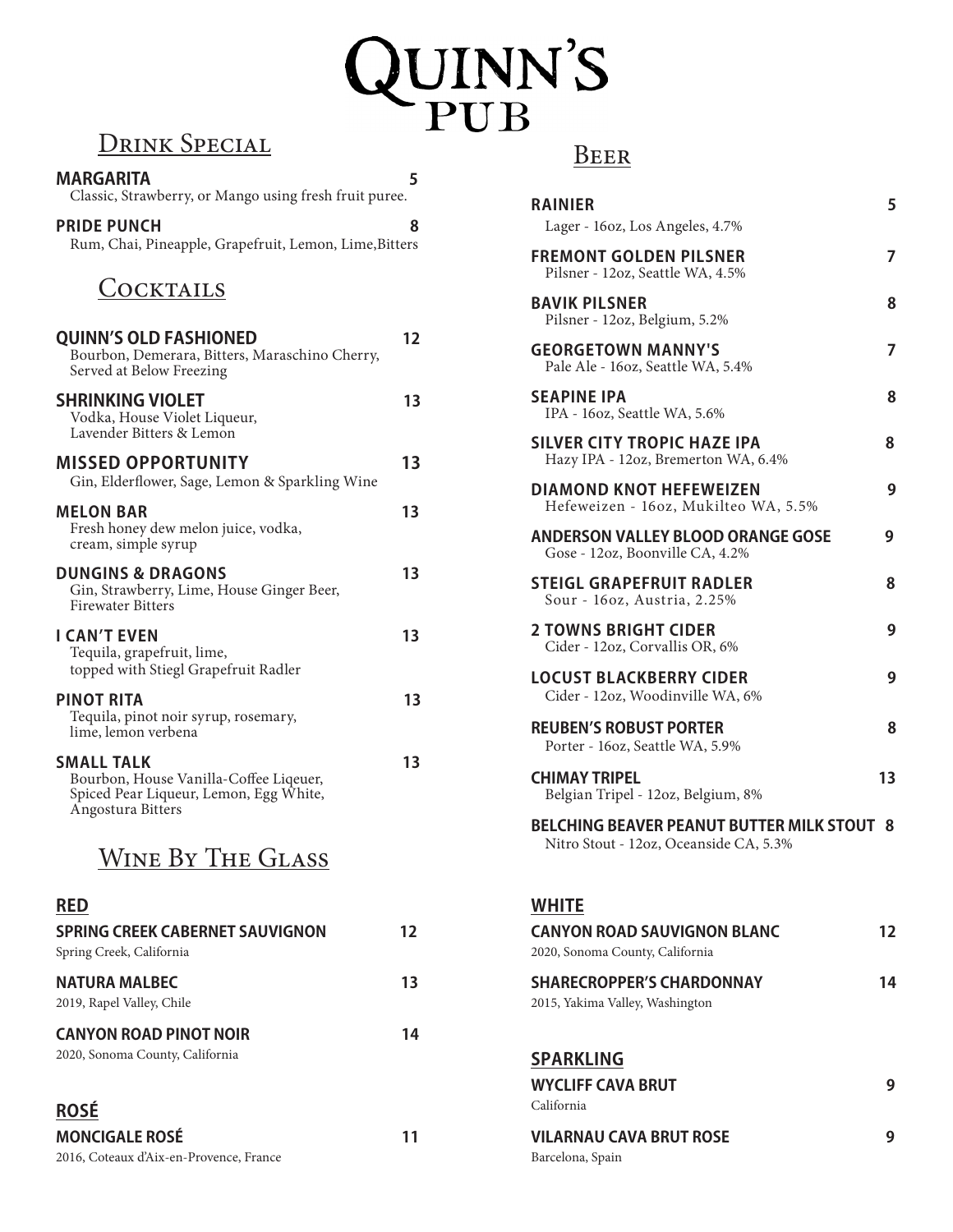# QUINN'S

# DRINK SPECIAL

| <u>D'UINN OI LUIME</u>                                                                                                     |    |
|----------------------------------------------------------------------------------------------------------------------------|----|
| <b>MARGARITA</b><br>Classic, Strawberry, or Mango using fresh fruit puree.                                                 | 5  |
| <b>PRIDE PUNCH</b><br>Rum, Chai, Pineapple, Grapefruit, Lemon, Lime, Bitters                                               | 8  |
| <b>COCKTAILS</b>                                                                                                           |    |
| <b>QUINN'S OLD FASHIONED</b><br>Bourbon, Demerara, Bitters, Maraschino Cherry,<br>Served at Below Freezing                 | 12 |
| <b>SHRINKING VIOLET</b><br>Vodka, House Violet Liqueur,<br>Lavender Bitters & Lemon                                        | 13 |
| <b>MISSED OPPORTUNITY</b><br>Gin, Elderflower, Sage, Lemon & Sparkling Wine                                                | 13 |
| <b>MELON BAR</b><br>Fresh honey dew melon juice, vodka,<br>cream, simple syrup                                             | 13 |
| <b>DUNGINS &amp; DRAGONS</b><br>Gin, Strawberry, Lime, House Ginger Beer,<br><b>Firewater Bitters</b>                      | 13 |
| <b>I CAN'T EVEN</b><br>Tequila, grapefruit, lime,<br>topped with Stiegl Grapefruit Radler                                  | 13 |
| <b>PINOT RITA</b><br>Tequila, pinot noir syrup, rosemary,<br>lime, lemon verbena                                           | 13 |
| <b>SMALL TALK</b><br>Bourbon, House Vanilla-Coffee Liqeuer,<br>Spiced Pear Liqueur, Lemon, Egg White,<br>Angostura Bitters | 13 |
| WINE Ry THE GLASS                                                                                                          |    |

# WINE DY THE GLASS

| <b>RED</b>                                                         |    |
|--------------------------------------------------------------------|----|
| <b>SPRING CREEK CABERNET SAUVIGNON</b><br>Spring Creek, California | 12 |
| <b>NATURA MALBEC</b><br>2019, Rapel Valley, Chile                  | 13 |
| <b>CANYON ROAD PINOT NOIR</b><br>2020, Sonoma County, California   | 14 |
| <b>ROSE</b>                                                        |    |

### **ROSÉ**

| <b>MONCIGALE ROSÉ</b>                   | 11 |
|-----------------------------------------|----|
| 2016, Coteaux d'Aix-en-Provence, France |    |

| <b>RAINIER</b><br>Lager - 16oz, Los Angeles, 4.7%                                           | 5  |
|---------------------------------------------------------------------------------------------|----|
| <b>FREMONT GOLDEN PILSNER</b><br>Pilsner - 12oz, Seattle WA, 4.5%                           | 7  |
| <b>BAVIK PILSNER</b><br>Pilsner - 12oz, Belgium, 5.2%                                       | 8  |
| <b>GEORGETOWN MANNY'S</b><br>Pale Ale - 16oz, Seattle WA, 5.4%                              | 7  |
| <b>SEAPINE IPA</b><br>IPA - 16oz, Seattle WA, 5.6%                                          | 8  |
| <b>SILVER CITY TROPIC HAZE IPA</b><br>Hazy IPA - 12oz, Bremerton WA, 6.4%                   | 8  |
| <b>DIAMOND KNOT HEFEWEIZEN</b><br>Hefeweizen - 160z, Mukilteo WA, 5.5%                      | 9  |
| <b>ANDERSON VALLEY BLOOD ORANGE GOSE</b><br>Gose - 12oz, Boonville CA, 4.2%                 | 9  |
| <b>STEIGL GRAPEFRUIT RADLER</b><br>Sour - 160z, Austria, 2.25%                              | 8  |
| <b>2 TOWNS BRIGHT CIDER</b><br>Cider - 12oz, Corvallis OR, 6%                               | 9  |
| <b>LOCUST BLACKBERRY CIDER</b><br>Cider - 12oz, Woodinville WA, 6%                          | 9  |
| <b>REUBEN'S ROBUST PORTER</b><br>Porter - 16oz, Seattle WA, 5.9%                            | 8  |
| <b>CHIMAY TRIPEL</b><br>Belgian Tripel - 12oz, Belgium, 8%                                  | 13 |
| <b>BELCHING BEAVER PEANUT BUTTER MILK STOUT 8</b><br>Nitro Stout - 12oz, Oceanside CA, 5.3% |    |
| <b>WHITE</b><br><b>CANYON ROAD SAUVIGNON BLANC</b><br>2020, Sonoma County, California       | 12 |
| <b>SHARECROPPER'S CHARDONNAY</b><br>2015, Yakima Valley, Washington                         | 14 |
| <b>SPARKLING</b><br><b>WYCLIFF CAVA BRUT</b>                                                | 9  |
| California                                                                                  |    |
| <b>VILARNAU CAVA BRUT ROSE</b><br>Barcelona, Spain                                          | 9  |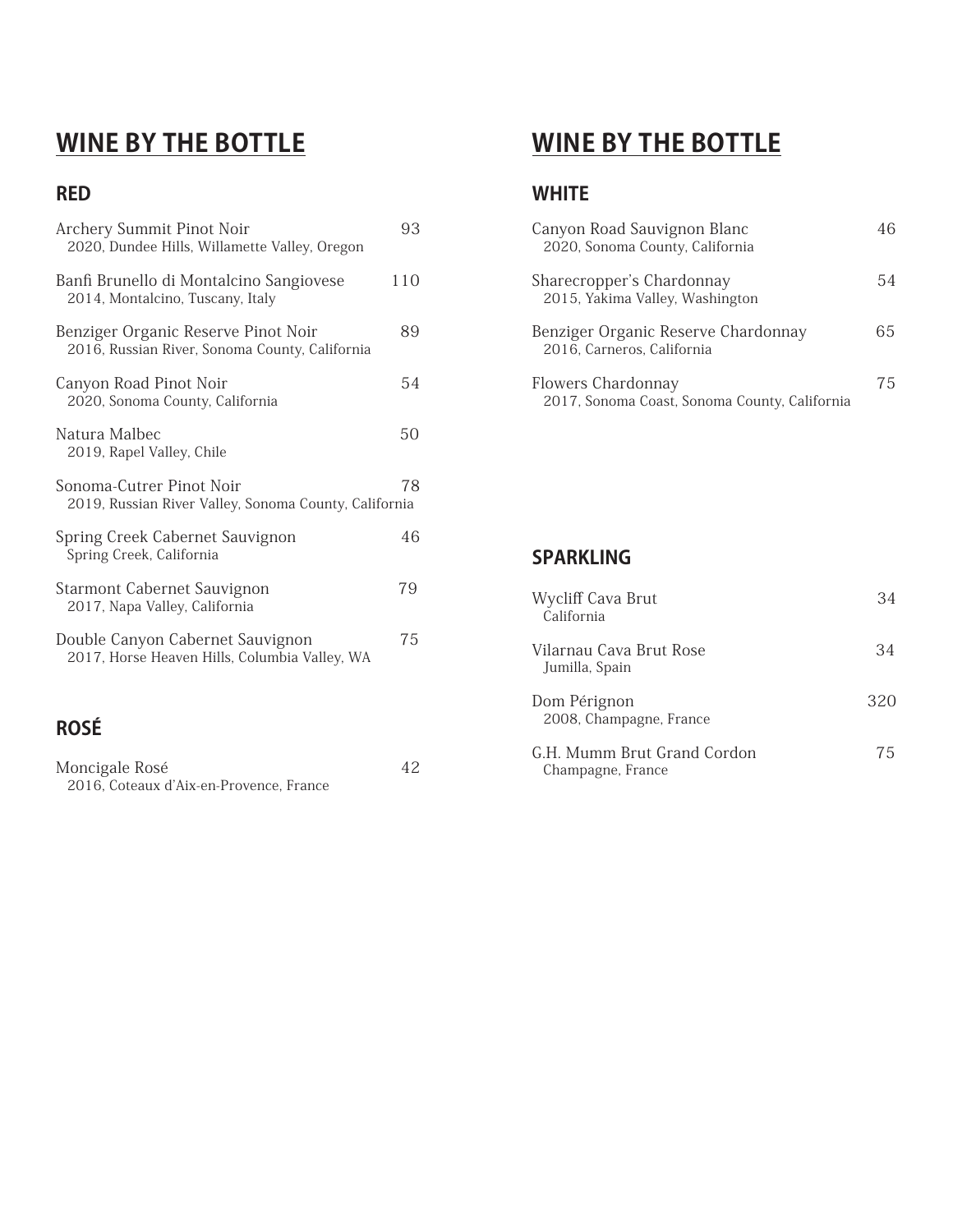# **WINE BY THE BOTTLE**

# **RED**

| Archery Summit Pinot Noir<br>2020, Dundee Hills, Willamette Valley, Oregon            | 93  |
|---------------------------------------------------------------------------------------|-----|
| Banfi Brunello di Montalcino Sangiovese<br>2014, Montalcino, Tuscany, Italy           | 110 |
| Benziger Organic Reserve Pinot Noir<br>2016, Russian River, Sonoma County, California | 89  |
| Canyon Road Pinot Noir<br>2020, Sonoma County, California                             | 54  |
| Natura Malbec<br>2019, Rapel Valley, Chile                                            | 50  |
| Sonoma-Cutrer Pinot Noir<br>2019, Russian River Valley, Sonoma County, California     | 78  |
| Spring Creek Cabernet Sauvignon<br>Spring Creek, California                           | 46  |
| <b>Starmont Cabernet Sauvignon</b><br>2017, Napa Valley, California                   | 79  |
| Double Canyon Cabernet Sauvignon<br>2017, Horse Heaven Hills, Columbia Valley, WA     | 75  |
| <b>ROSE</b>                                                                           |     |

| Moncigale Rosé                          | 42 |
|-----------------------------------------|----|
| 2016, Coteaux d'Aix-en-Provence, France |    |

# **WINE BY THE BOTTLE**

## **WHITE**

| Canyon Road Sauvignon Blanc<br>2020, Sonoma County, California      |    |
|---------------------------------------------------------------------|----|
| Sharecropper's Chardonnay<br>2015, Yakima Valley, Washington        | 54 |
| Benziger Organic Reserve Chardonnay<br>2016, Carneros, California   | 65 |
| Flowers Chardonnay<br>2017, Sonoma Coast, Sonoma County, California | 75 |

### **SPARKLING**

| Wycliff Cava Brut<br>California                  | 34  |
|--------------------------------------------------|-----|
| Vilarnau Cava Brut Rose<br>Jumilla, Spain        | 34  |
| Dom Pérignon<br>2008, Champagne, France          | 320 |
| G.H. Mumm Brut Grand Cordon<br>Champagne, France | 75  |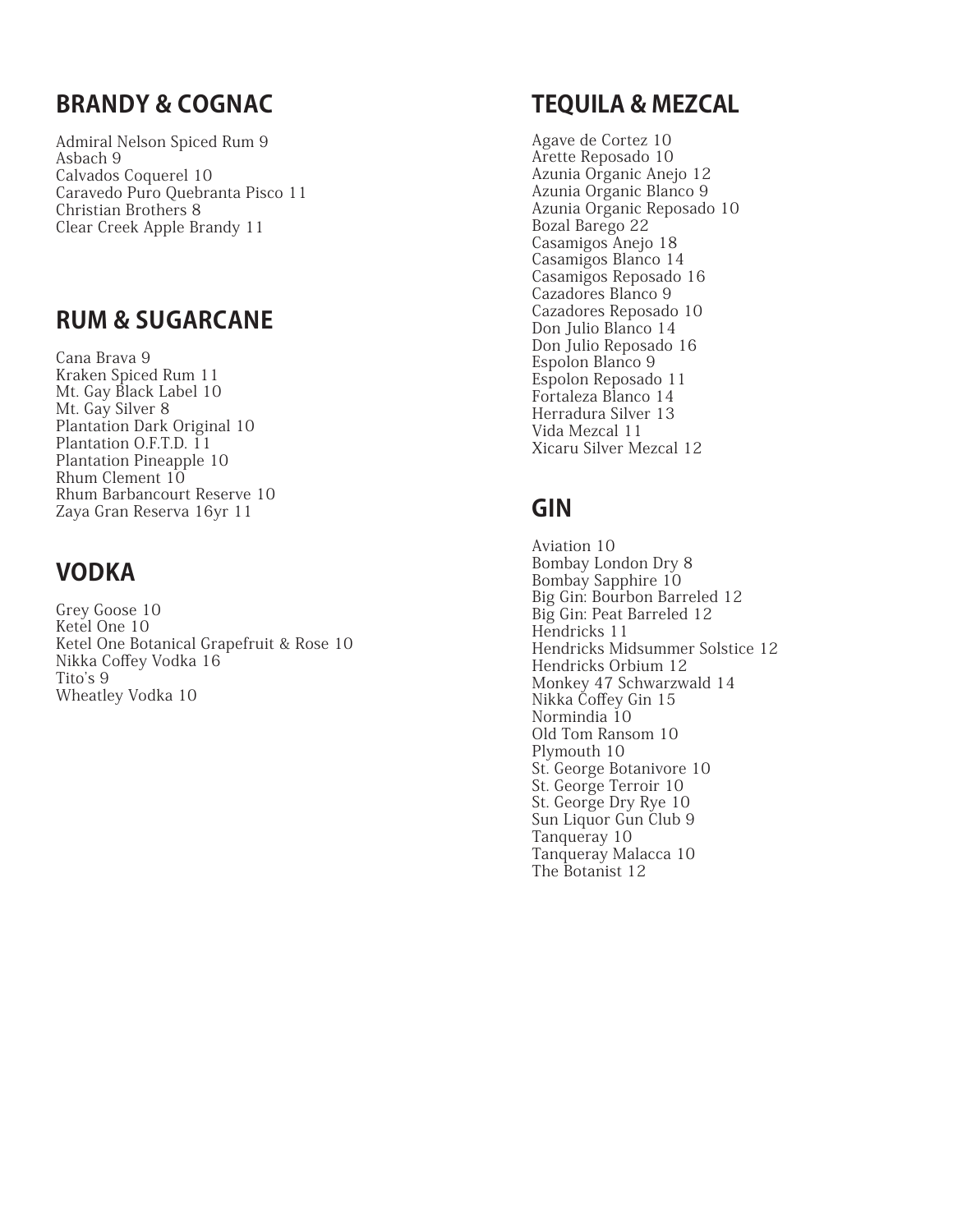# **BRANDY & COGNAC**

Admiral Nelson Spiced Rum 9 Asbach 9 Calvados Coquerel 10 Caravedo Puro Quebranta Pisco 11 Christian Brothers 8 Clear Creek Apple Brandy 11

# **RUM & SUGARCANE**

Cana Brava 9 Kraken Spiced Rum 11 Mt. Gay Black Label 10 Mt. Gay Silver 8 Plantation Dark Original 10 Plantation O.F.T.D. 11 Plantation Pineapple 10 Rhum Clement 10 Rhum Barbancourt Reserve 10 Zaya Gran Reserva 16yr 11

# **VODKA**

Grey Goose 10 Ketel One 10 Ketel One Botanical Grapefruit & Rose 10 Nikka Coffey Vodka 16 Tito's 9 Wheatley Vodka 10

# **TEQUILA & MEZCAL**

Agave de Cortez 10 Arette Reposado 10 Azunia Organic Anejo 12 Azunia Organic Blanco 9 Azunia Organic Reposado 10 Bozal Barego 22 Casamigos Anejo 18 Casamigos Blanco 14 Casamigos Reposado 16 Cazadores Blanco 9 Cazadores Reposado 10 Don Julio Blanco 14 Don Julio Reposado 16 Espolon Blanco 9 Espolon Reposado 11 Fortaleza Blanco 14 Herradura Silver 13 Vida Mezcal 11 Xicaru Silver Mezcal 12

# **GIN**

Aviation 10 Bombay London Dry 8 Bombay Sapphire 10 Big Gin: Bourbon Barreled 12 Big Gin: Peat Barreled 12 Hendricks 11 Hendricks Midsummer Solstice 12 Hendricks Orbium 12 Monkey 47 Schwarzwald 14 Nikka Coffey Gin 15 Normindia 10 Old Tom Ransom 10 Plymouth 10 St. George Botanivore 10 St. George Terroir 10 St. George Dry Rye 10 Sun Liquor Gun Club 9 Tanqueray 10 Tanqueray Malacca 10 The Botanist 12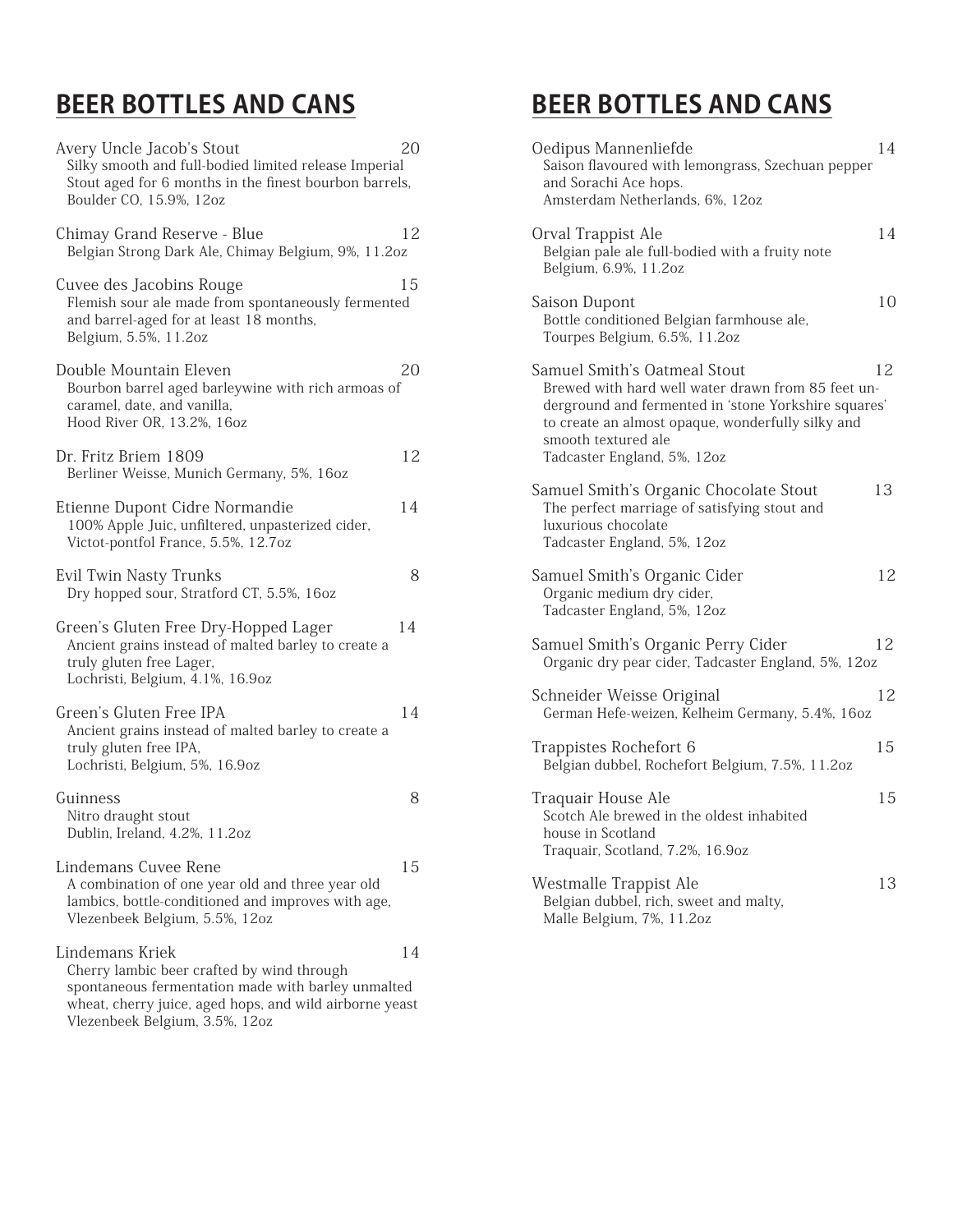# **BEER BOTTLES AND CANS**

| Avery Uncle Jacob's Stout<br>Silky smooth and full-bodied limited release Imperial<br>Stout aged for 6 months in the finest bourbon barrels,<br>Boulder CO, 15.9%, 12oz        | 20 |
|--------------------------------------------------------------------------------------------------------------------------------------------------------------------------------|----|
| Chimay Grand Reserve - Blue<br>Belgian Strong Dark Ale, Chimay Belgium, 9%, 11.2oz                                                                                             | 12 |
| Cuvee des Jacobins Rouge<br>Flemish sour ale made from spontaneously fermented<br>and barrel-aged for at least 18 months,<br>Belgium, 5.5%, 11.2oz                             | 15 |
| Double Mountain Eleven<br>Bourbon barrel aged barleywine with rich armoas of<br>caramel, date, and vanilla,<br>Hood River OR, 13.2%, 16oz                                      | 20 |
| Dr. Fritz Briem 1809<br>Berliner Weisse, Munich Germany, 5%, 16oz                                                                                                              | 12 |
| Etienne Dupont Cidre Normandie<br>100% Apple Juic, unfiltered, unpasterized cider,<br>Victot-pontfol France, 5.5%, 12.7oz                                                      | 14 |
| Evil Twin Nasty Trunks<br>Dry hopped sour, Stratford CT, 5.5%, 16oz                                                                                                            | 8  |
| Green's Gluten Free Dry-Hopped Lager<br>Ancient grains instead of malted barley to create a<br>truly gluten free Lager,<br>Lochristi, Belgium, 4.1%, 16.9oz                    | 14 |
| Green's Gluten Free IPA<br>Ancient grains instead of malted barley to create a<br>truly gluten free IPA,<br>Lochristi, Belgium, 5%, 16.9oz                                     | 14 |
| Guinness<br>Nitro draught stout<br>Dublin, Ireland, 4.2%, 11.2oz                                                                                                               | 8  |
| Lindemans Cuvee Rene<br>A combination of one year old and three year old<br>lambics, bottle-conditioned and improves with age,<br>Vlezenbeek Belgium, 5.5%, 12oz               | 15 |
| Lindemans Kriek<br>Cherry lambic beer crafted by wind through<br>spontaneous fermentation made with barley unmalted<br>wheat, cherry juice, aged hops, and wild airborne yeast | 14 |

Vlezenbeek Belgium, 3.5%, 12oz

# **BEER BOTTLES AND CANS**

| Oedipus Mannenliefde<br>Saison flavoured with lemongrass, Szechuan pepper<br>and Sorachi Ace hops.<br>Amsterdam Netherlands, 6%, 12oz                                                                                                                 | 14 |
|-------------------------------------------------------------------------------------------------------------------------------------------------------------------------------------------------------------------------------------------------------|----|
| Orval Trappist Ale<br>Belgian pale ale full-bodied with a fruity note<br>Belgium, 6.9%, 11.2oz                                                                                                                                                        | 14 |
| Saison Dupont<br>Bottle conditioned Belgian farmhouse ale,<br>Tourpes Belgium, 6.5%, 11.2oz                                                                                                                                                           | 10 |
| Samuel Smith's Oatmeal Stout<br>Brewed with hard well water drawn from 85 feet un-<br>derground and fermented in 'stone Yorkshire squares'<br>to create an almost opaque, wonderfully silky and<br>smooth textured ale<br>Tadcaster England, 5%, 12oz | 12 |
| Samuel Smith's Organic Chocolate Stout<br>The perfect marriage of satisfying stout and<br>luxurious chocolate<br>Tadcaster England, 5%, 12oz                                                                                                          | 13 |
| Samuel Smith's Organic Cider<br>Organic medium dry cider,<br>Tadcaster England, 5%, 12oz                                                                                                                                                              | 12 |
| Samuel Smith's Organic Perry Cider<br>Organic dry pear cider, Tadcaster England, 5%, 12oz                                                                                                                                                             | 12 |
| Schneider Weisse Original<br>German Hefe-weizen, Kelheim Germany, 5.4%, 16oz                                                                                                                                                                          | 12 |
| Trappistes Rochefort 6<br>Belgian dubbel, Rochefort Belgium, 7.5%, 11.2oz                                                                                                                                                                             | 15 |
| Traquair House Ale<br>Scotch Ale brewed in the oldest inhabited<br>house in Scotland<br>Traquair, Scotland, 7.2%, 16.9oz                                                                                                                              | 15 |
| Westmalle Trappist Ale<br>Belgian dubbel, rich, sweet and malty,<br>Malle Belgium, 7%, 11.2oz                                                                                                                                                         | 13 |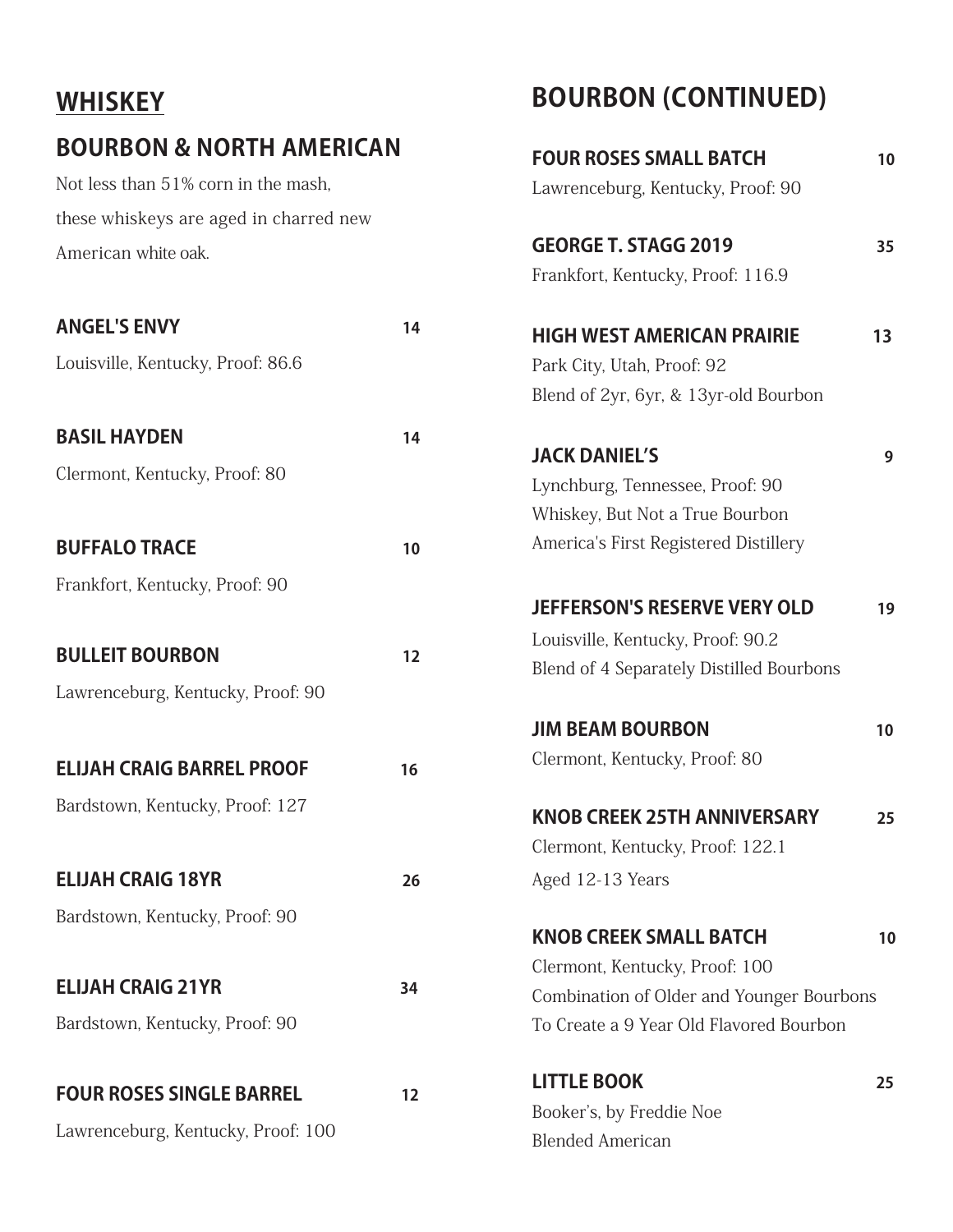# **WHISKEY**

# **BOURBON & NORTH AMERICAN**

Not less than 51% corn in the mash, these whiskeys are aged in charred new American white oak.

| <b>ANGEL'S ENVY</b>                | 14 |
|------------------------------------|----|
| Louisville, Kentucky, Proof: 86.6  |    |
|                                    |    |
| <b>BASIL HAYDEN</b>                | 14 |
| Clermont, Kentucky, Proof: 80      |    |
|                                    |    |
| <b>BUFFALO TRACE</b>               | 10 |
| Frankfort, Kentucky, Proof: 90     |    |
|                                    |    |
| <b>BULLEIT BOURBON</b>             | 12 |
| Lawrenceburg, Kentucky, Proof: 90  |    |
|                                    |    |
| <b>ELIJAH CRAIG BARREL PROOF</b>   | 16 |
| Bardstown, Kentucky, Proof: 127    |    |
|                                    |    |
| <b>ELIJAH CRAIG 18YR</b>           | 26 |
| Bardstown, Kentucky, Proof: 90     |    |
|                                    |    |
| <b>ELIJAH CRAIG 21YR</b>           | 34 |
| Bardstown, Kentucky, Proof: 90     |    |
|                                    |    |
| <b>FOUR ROSES SINGLE BARREL</b>    | 12 |
| Lawrenceburg, Kentucky, Proof: 100 |    |

# **BOURBON (CONTINUED)**

| <b>FOUR ROSES SMALL BATCH</b>                   | 10 |
|-------------------------------------------------|----|
| Lawrenceburg, Kentucky, Proof: 90               |    |
| <b>GEORGE T. STAGG 2019</b>                     | 35 |
| Frankfort, Kentucky, Proof: 116.9               |    |
| <b>HIGH WEST AMERICAN PRAIRIE</b>               | 13 |
| Park City, Utah, Proof: 92                      |    |
| Blend of 2yr, 6yr, & 13yr-old Bourbon           |    |
| <b>JACK DANIEL'S</b>                            | 9  |
| Lynchburg, Tennessee, Proof: 90                 |    |
| Whiskey, But Not a True Bourbon                 |    |
| America's First Registered Distillery           |    |
| <b>JEFFERSON'S RESERVE VERY OLD</b>             | 19 |
| Louisville, Kentucky, Proof: 90.2               |    |
| <b>Blend of 4 Separately Distilled Bourbons</b> |    |
| <b>JIM BEAM BOURBON</b>                         | 10 |
| Clermont, Kentucky, Proof: 80                   |    |
| <b>KNOB CREEK 25TH ANNIVERSARY</b>              | 25 |
| Clermont, Kentucky, Proof: 122.1                |    |
| Aged 12-13 Years                                |    |
| <b>KNOB CREEK SMALL BATCH</b>                   | 10 |
| Clermont, Kentucky, Proof: 100                  |    |
| Combination of Older and Younger Bourbons       |    |
| To Create a 9 Year Old Flavored Bourbon         |    |
| <b>LITTLE BOOK</b>                              | 25 |
| Booker's, by Freddie Noe                        |    |

Blended American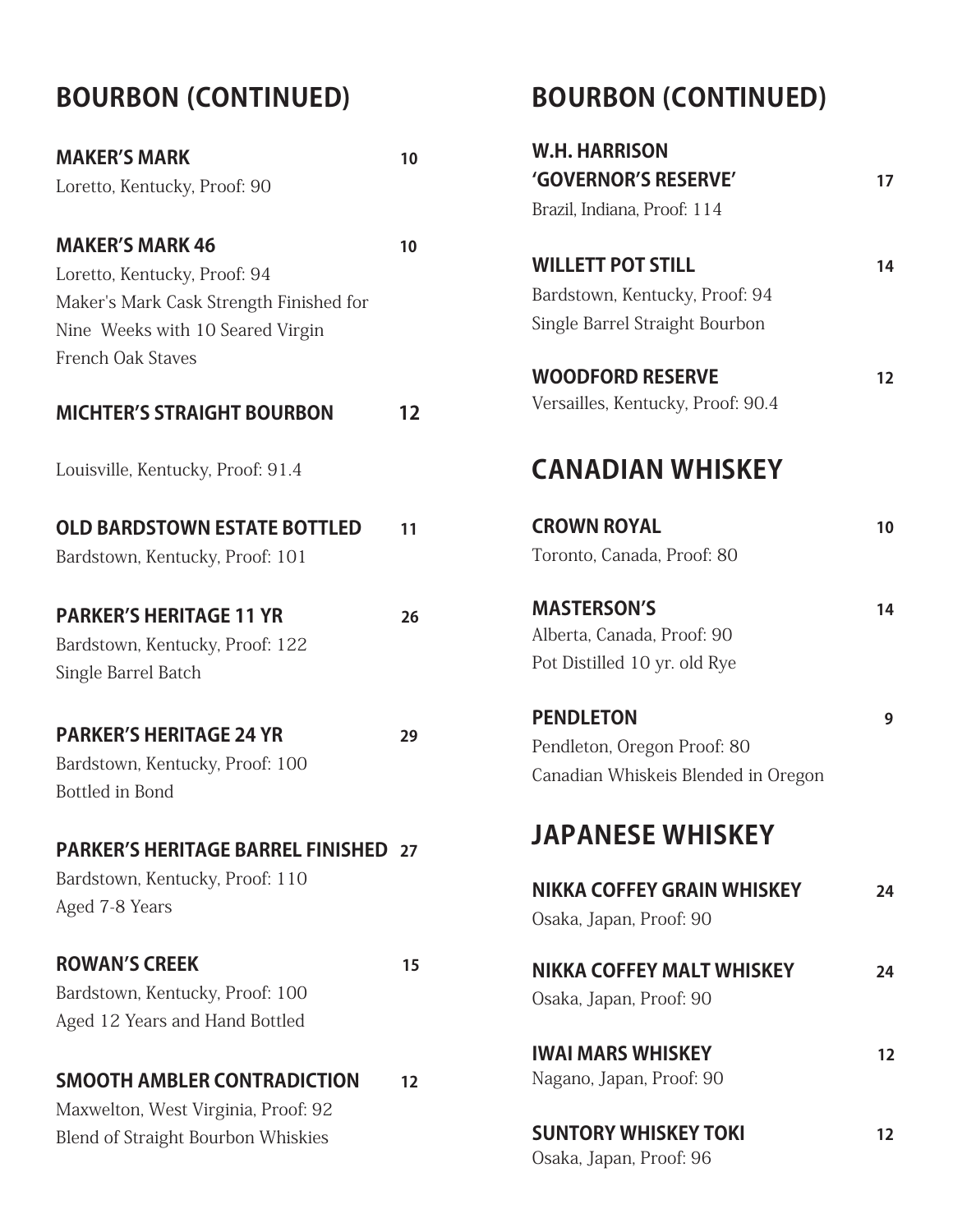# **BOURBON (CONTINUED)**

| <b>MAKER'S MARK</b>                         | 10 |
|---------------------------------------------|----|
| Loretto, Kentucky, Proof: 90                |    |
| <b>MAKER'S MARK 46</b>                      | 10 |
| Loretto, Kentucky, Proof: 94                |    |
| Maker's Mark Cask Strength Finished for     |    |
| Nine Weeks with 10 Seared Virgin            |    |
| <b>French Oak Staves</b>                    |    |
| <b>MICHTER'S STRAIGHT BOURBON</b>           | 12 |
| Louisville, Kentucky, Proof: 91.4           |    |
| <b>OLD BARDSTOWN ESTATE BOTTLED</b>         | 11 |
| Bardstown, Kentucky, Proof: 101             |    |
| <b>PARKER'S HERITAGE 11 YR</b>              | 26 |
| Bardstown, Kentucky, Proof: 122             |    |
| Single Barrel Batch                         |    |
| <b>PARKER'S HERITAGE 24 YR</b>              | 29 |
| Bardstown, Kentucky, Proof: 100             |    |
| Bottled in Bond                             |    |
| <b>PARKER'S HERITAGE BARREL FINISHED 27</b> |    |
| Bardstown, Kentucky, Proof: 110             |    |
| Aged 7-8 Years                              |    |
| <b>ROWAN'S CREEK</b>                        | 15 |
| Bardstown, Kentucky, Proof: 100             |    |
| Aged 12 Years and Hand Bottled              |    |
| <b>SMOOTH AMBLER CONTRADICTION</b>          | 12 |
| Maxwelton, West Virginia, Proof: 92         |    |
| <b>Blend of Straight Bourbon Whiskies</b>   |    |

# **BOURBON (CONTINUED)**

| <b>W.H. HARRISON</b><br>'GOVERNOR'S RESERVE'<br>Brazil, Indiana, Proof: 114                  | 17 |
|----------------------------------------------------------------------------------------------|----|
| <b>WILLETT POT STILL</b><br>Bardstown, Kentucky, Proof: 94<br>Single Barrel Straight Bourbon | 14 |
| <b>WOODFORD RESERVE</b><br>Versailles, Kentucky, Proof: 90.4                                 | 12 |
| <b>CANADIAN WHISKEY</b>                                                                      |    |
| <b>CROWN ROYAL</b><br>Toronto, Canada, Proof: 80                                             | 10 |
| <b>MASTERSON'S</b><br>Alberta, Canada, Proof: 90<br>Pot Distilled 10 yr. old Rye             | 14 |
| <b>PENDLETON</b><br>Pendleton, Oregon Proof: 80<br>Canadian Whiskeis Blended in Oregon       | 9  |
| <b>JAPANESE WHISKEY</b>                                                                      |    |
| NIKKA COFFEY GRAIN WHISKEY<br>Osaka, Japan, Proof: 90                                        | 24 |
| <b>NIKKA COFFEY MALT WHISKEY</b><br>Osaka, Japan, Proof: 90                                  | 24 |
| <b>IWAI MARS WHISKEY</b><br>Nagano, Japan, Proof: 90                                         | 12 |
| <b>SUNTORY WHISKEY TOKI</b>                                                                  | 12 |

Osaka, Japan, Proof: 96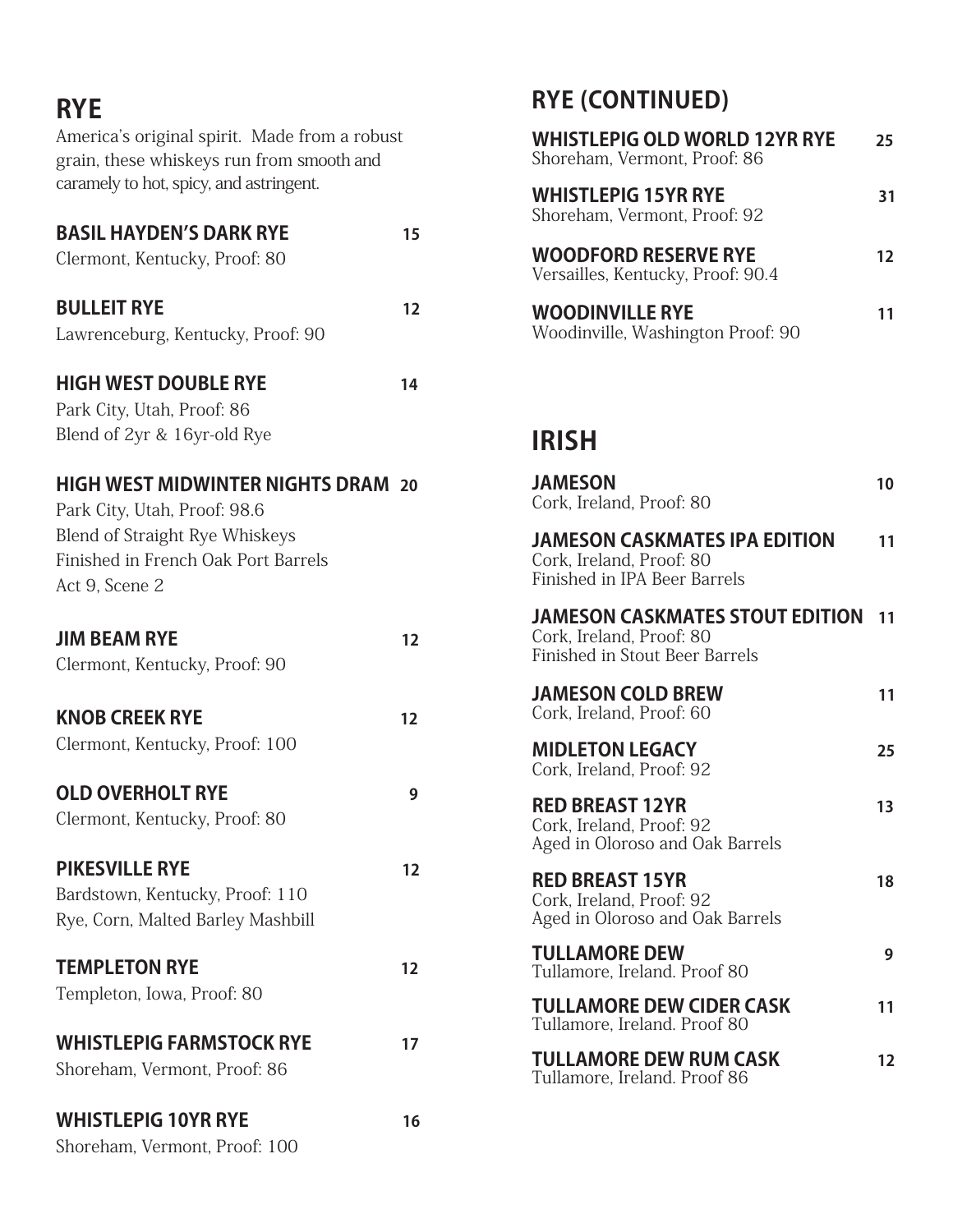# **RYE**

America's original spirit. Made from a robust grain, these whiskeys run from smooth and caramely to hot, spicy, and astringent.

| <b>BASIL HAYDEN'S DARK RYE</b>            | 15 |
|-------------------------------------------|----|
| Clermont, Kentucky, Proof: 80             |    |
| <b>BULLEIT RYE</b>                        | 12 |
| Lawrenceburg, Kentucky, Proof: 90         |    |
| <b>HIGH WEST DOUBLE RYE</b>               | 14 |
| Park City, Utah, Proof: 86                |    |
| Blend of 2yr & 16yr-old Rye               |    |
| <b>HIGH WEST MIDWINTER NIGHTS DRAM 20</b> |    |
| Park City, Utah, Proof: 98.6              |    |
| <b>Blend of Straight Rye Whiskeys</b>     |    |
| Finished in French Oak Port Barrels       |    |
| Act 9, Scene 2                            |    |
|                                           |    |
| <b>JIM BEAM RYE</b>                       | 12 |
| Clermont, Kentucky, Proof: 90             |    |
|                                           |    |
| <b>KNOB CREEK RYE</b>                     | 12 |
| Clermont, Kentucky, Proof: 100            |    |
|                                           |    |
| <b>OLD OVERHOLT RYE</b>                   | 9  |
| Clermont, Kentucky, Proof: 80             |    |
|                                           |    |
| <b>PIKESVILLE RYE</b>                     | 12 |
| Bardstown, Kentucky, Proof: 110           |    |
| Rye, Corn, Malted Barley Mashbill         |    |
|                                           |    |
| <b>TEMPLETON RYE</b>                      | 12 |
| Templeton, Iowa, Proof: 80                |    |
|                                           |    |
| <b>WHISTLEPIG FARMSTOCK RYE</b>           | 17 |
| Shoreham, Vermont, Proof: 86              |    |
|                                           |    |
| <b>WHISTLEPIG 10YR RYE</b>                | 16 |
| Shoreham, Vermont, Proof: 100             |    |

# **RYE (CONTINUED)**

| <b>WHISTLEPIG OLD WORLD 12YR RYE</b><br>Shoreham, Vermont, Proof: 86 | つら |
|----------------------------------------------------------------------|----|
| <b>WHISTLEPIG 15YR RYE</b><br>Shoreham, Vermont, Proof: 92           | 31 |
| <b>WOODFORD RESERVE RYE</b><br>Versailles, Kentucky, Proof: 90.4     | 17 |
| <b>WOODINVILLE RYE</b><br>Woodinville, Washington Proof: 90          |    |

# **IRISH**

| <b>JAMESON</b><br>Cork, Ireland, Proof: 80                                                                  | 10 |
|-------------------------------------------------------------------------------------------------------------|----|
| JAMESON CASKMATES IPA EDITION<br>Cork, Ireland, Proof: 80<br>Finished in IPA Beer Barrels                   | 11 |
| <b>JAMESON CASKMATES STOUT EDITION</b><br>Cork, Ireland, Proof: 80<br><b>Finished in Stout Beer Barrels</b> | 11 |
| <b>JAMESON COLD BREW</b><br>Cork, Ireland, Proof: 60                                                        | 11 |
| <b>MIDLETON LEGACY</b><br>Cork, Ireland, Proof: 92                                                          | 25 |
| <b>RED BREAST 12YR</b><br>Cork, Ireland, Proof: 92<br>Aged in Oloroso and Oak Barrels                       | 13 |
| <b>RED BREAST 15YR</b><br>Cork, Ireland, Proof: 92<br>Aged in Oloroso and Oak Barrels                       | 18 |
| <b>TULLAMORE DEW</b><br>Tullamore, Ireland. Proof 80                                                        | 9  |
| <b>TULLAMORE DEW CIDER CASK</b><br>Tullamore, Ireland. Proof 80                                             | 11 |
| TULLAMORE DEW RUM CASK<br>Tullamore, Ireland. Proof 86                                                      | 12 |
|                                                                                                             |    |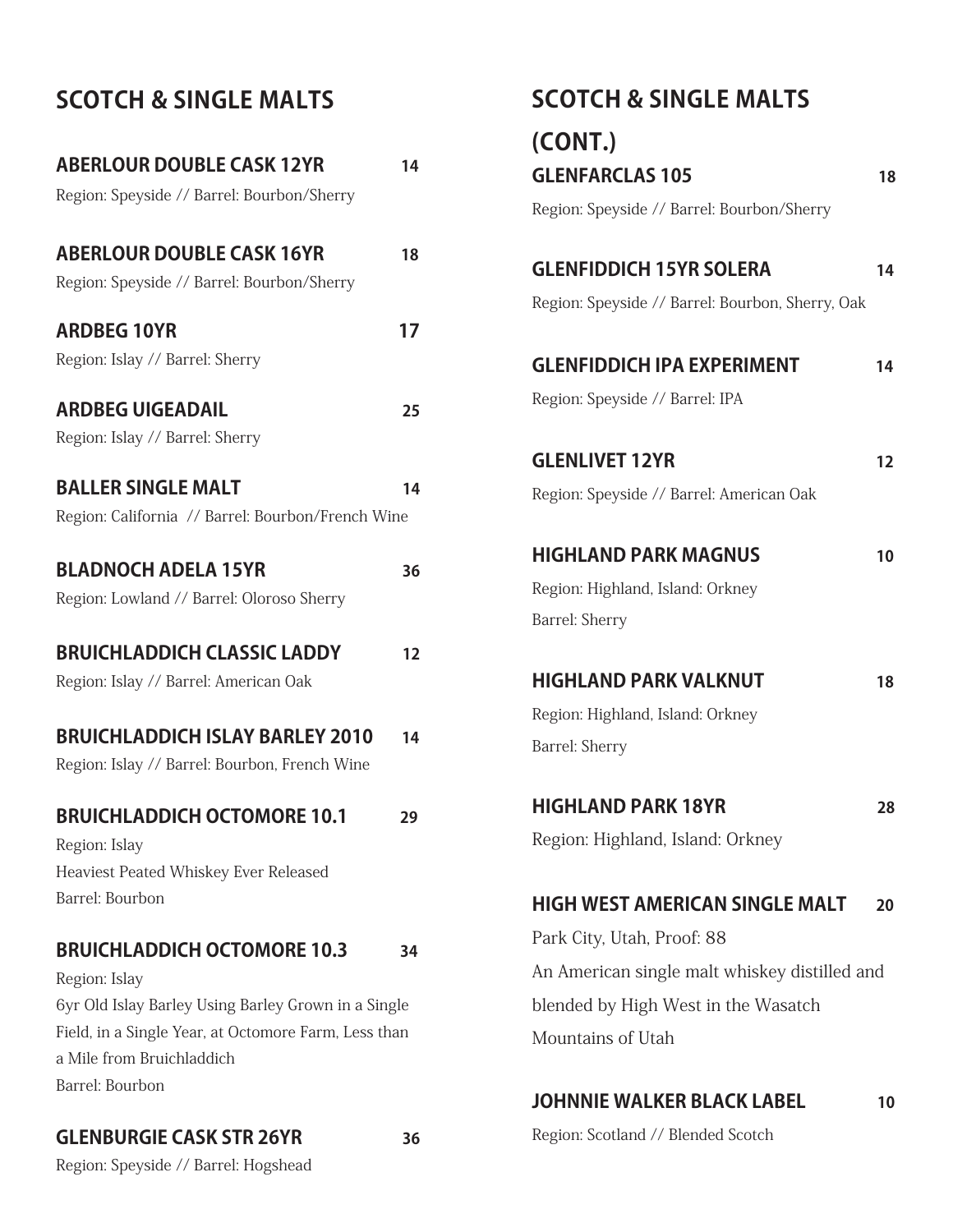# **SCOTCH & SINGLE MALTS**

| <b>ABERLOUR DOUBLE CASK 12YR</b><br>Region: Speyside // Barrel: Bourbon/Sherry                                                                                                                                     | 14 |
|--------------------------------------------------------------------------------------------------------------------------------------------------------------------------------------------------------------------|----|
| <b>ABERLOUR DOUBLE CASK 16YR</b><br>Region: Speyside // Barrel: Bourbon/Sherry                                                                                                                                     | 18 |
| <b>ARDBEG 10YR</b><br>Region: Islay // Barrel: Sherry                                                                                                                                                              | 17 |
| <b>ARDBEG UIGEADAIL</b><br>Region: Islay // Barrel: Sherry                                                                                                                                                         | 25 |
| <b>BALLER SINGLE MALT</b><br>Region: California // Barrel: Bourbon/French Wine                                                                                                                                     | 14 |
| <b>BLADNOCH ADELA 15YR</b><br>Region: Lowland // Barrel: Oloroso Sherry                                                                                                                                            | 36 |
| <b>BRUICHLADDICH CLASSIC LADDY</b><br>Region: Islay // Barrel: American Oak                                                                                                                                        | 12 |
| <b>BRUICHLADDICH ISLAY BARLEY 2010</b><br>Region: Islay // Barrel: Bourbon, French Wine                                                                                                                            | 14 |
| <b>BRUICHLADDICH OCTOMORE 10.1</b><br>Region: Islay<br>Heaviest Peated Whiskey Ever Released<br>Barrel: Bourbon                                                                                                    | 29 |
| <b>BRUICHLADDICH OCTOMORE 10.3</b><br>Region: Islay<br>6yr Old Islay Barley Using Barley Grown in a Single<br>Field, in a Single Year, at Octomore Farm, Less than<br>a Mile from Bruichladdich<br>Barrel: Bourbon | 34 |

### **GLENBURGIE CASK STR 26YR 36**

**(CONT.) GLENFARCLAS 105** 18 Region: Speyside // Barrel: Bourbon/Sherry **GLENFIDDICH 15YR SOLERA 14** Region: Speyside // Barrel: Bourbon, Sherry, Oak **GLENFIDDICH IPA EXPERIMENT 14** Region: Speyside // Barrel: IPA **GLENLIVET 12YR 12**  Region: Speyside // Barrel: American Oak **HIGHLAND PARK MAGNUS** 10 Region: Highland, Island: Orkney Barrel: Sherry **HIGHLAND PARK VALKNUT** 18 Region: Highland, Island: Orkney Barrel: Sherry **HIGHLAND PARK 18YR 28** Region: Highland, Island: Orkney **HIGH WEST AMERICAN SINGLE MALT 20** Park City, Utah, Proof: 88 An American single malt whiskey distilled and blended by High West in the Wasatch Mountains of Utah

**SCOTCH & SINGLE MALTS**

### **JOHNNIE WALKER BLACK LABEL 10**

Region: Scotland // Blended Scotch

Region: Speyside // Barrel: Hogshead